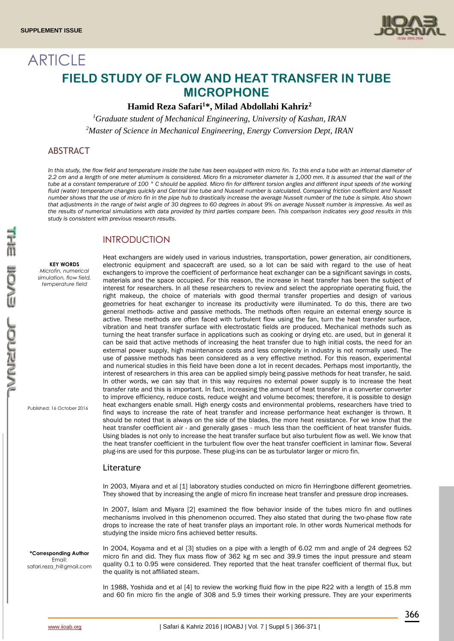

# **ARTICLE FIELD STUDY OF FLOW AND HEAT TRANSFER IN TUBE MICROPHONE**

## **Hamid Reza Safari<sup>1</sup>\*, Milad Abdollahi Kahriz<sup>2</sup>**

*<sup>1</sup>Graduate student of Mechanical Engineering, University of Kashan, IRAN <sup>2</sup>Master of Science in Mechanical Engineering, Energy Conversion Dept, IRAN*

# ABSTRACT

In this study, the flow field and temperature inside the tube has been equipped with micro fin. To this end a tube with an internal diameter of *2.2 cm and a length of one meter aluminum is considered. Micro fin a micrometer diameter is 1,000 mm. It is assumed that the wall of the*  tube at a constant temperature of 100 °C should be applied. Micro fin for different torsion angles and different input speeds of the working fluid (water) temperature changes quickly and Central line tube and Nusselt number is calculated. Comparing friction coefficient and Nusselt *number shows that the use of micro fin in the pipe hub to drastically increase the average Nusselt number of the tube is simple. Also shown that adjustments in the range of twist angle of 30 degrees to 60 degrees in about 9% on average Nusselt number is impressive. As well as the results of numerical simulations with data provided by third parties compare been. This comparison indicates very good results in this study is consistent with previous research results.*

# INTRODUCTION

**KEY WORDS** *Microfin, numerical simulation, flow field, temperature field*

Published: 16 October 2016

Heat exchangers are widely used in various industries, transportation, power generation, air conditioners, electronic equipment and spacecraft are used, so a lot can be said with regard to the use of heat exchangers to improve the coefficient of performance heat exchanger can be a significant savings in costs, materials and the space occupied. For this reason, the increase in heat transfer has been the subject of interest for researchers. In all these researchers to review and select the appropriate operating fluid, the right makeup, the choice of materials with good thermal transfer properties and design of various geometries for heat exchanger to increase its productivity were illuminated. To do this, there are two general methods- active and passive methods. The methods often require an external energy source is active. These methods are often faced with turbulent flow using the fan, turn the heat transfer surface, vibration and heat transfer surface with electrostatic fields are produced. Mechanical methods such as turning the heat transfer surface in applications such as cooking or drying etc. are used, but in general it can be said that active methods of increasing the heat transfer due to high initial costs, the need for an external power supply, high maintenance costs and less complexity in industry is not normally used. The use of passive methods has been considered as a very effective method. For this reason, experimental and numerical studies in this field have been done a lot in recent decades. Perhaps most importantly, the interest of researchers in this area can be applied simply being passive methods for heat transfer, he said. In other words, we can say that in this way requires no external power supply is to increase the heat transfer rate and this is important. In fact, increasing the amount of heat transfer in a converter converter to improve efficiency, reduce costs, reduce weight and volume becomes; therefore, it is possible to design heat exchangers enable small. High energy costs and environmental problems, researchers have tried to find ways to increase the rate of heat transfer and increase performance heat exchanger is thrown. It should be noted that is always on the side of the blades, the more heat resistance. For we know that the heat transfer coefficient air - and generally gases - much less than the coefficient of heat transfer fluids. Using blades is not only to increase the heat transfer surface but also turbulent flow as well. We know that the heat transfer coefficient in the turbulent flow over the heat transfer coefficient in laminar flow. Several plug-ins are used for this purpose. These plug-ins can be as turbulator larger or micro fin.

#### Literature

In 2003, Miyara and et al [1] laboratory studies conducted on micro fin Herringbone different geometries. They showed that by increasing the angle of micro fin increase heat transfer and pressure drop increases.

In 2007, Islam and Miyara [2] examined the flow behavior inside of the tubes micro fin and outlines mechanisms involved in this phenomenon occurred. They also stated that during the two-phase flow rate drops to increase the rate of heat transfer plays an important role. In other words Numerical methods for studying the inside micro fins achieved better results.

safari.reza\_h@gmail.com In 2004, Koyama and et al [3] studies on a pipe with a length of 6.02 mm and angle of 24 degrees 52 micro fin and did. They flux mass flow of 362 kg m sec and 39.9 times the input pressure and steam quality 0.1 to 0.95 were considered. They reported that the heat transfer coefficient of thermal flux, but the quality is not affiliated steam.

> In 1988, Yoshida and et al [4] to review the working fluid flow in the pipe R22 with a length of 15.8 mm and 60 fin micro fin the angle of 308 and 5.9 times their working pressure. They are your experiments

**\*Corresponding Author** Email: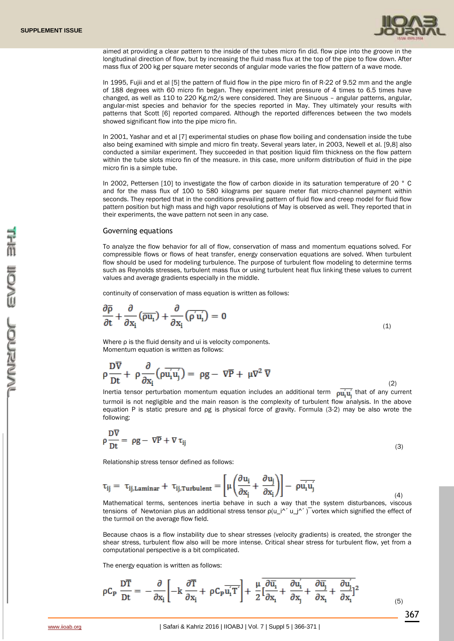

aimed at providing a clear pattern to the inside of the tubes micro fin did. flow pipe into the groove in the longitudinal direction of flow, but by increasing the fluid mass flux at the top of the pipe to flow down. After mass flux of 200 kg per square meter seconds of angular mode varies the flow pattern of a wave mode.

In 1995, Fujii and et al [5] the pattern of fluid flow in the pipe micro fin of R-22 of 9.52 mm and the angle of 188 degrees with 60 micro fin began. They experiment inlet pressure of 4 times to 6.5 times have changed, as well as 110 to 220 Kg.m2/s were considered. They are Sinuous – angular patterns, angular, angular-mist species and behavior for the species reported in May. They ultimately your results with patterns that Scott [6] reported compared. Although the reported differences between the two models showed significant flow into the pipe micro fin.

In 2001, Yashar and et al [7] experimental studies on phase flow boiling and condensation inside the tube also being examined with simple and micro fin treaty. Several years later, in 2003, Newell et al. [9,8] also conducted a similar experiment. They succeeded in that position liquid film thickness on the flow pattern within the tube slots micro fin of the measure. in this case, more uniform distribution of fluid in the pipe micro fin is a simple tube.

In 2002, Pettersen [10] to investigate the flow of carbon dioxide in its saturation temperature of 20 ° C and for the mass flux of 100 to 580 kilograms per square meter flat micro-channel payment within seconds. They reported that in the conditions prevailing pattern of fluid flow and creep model for fluid flow pattern position but high mass and high vapor resolutions of May is observed as well. They reported that in their experiments, the wave pattern not seen in any case.

#### Governing equations

To analyze the flow behavior for all of flow, conservation of mass and momentum equations solved. For compressible flows or flows of heat transfer, energy conservation equations are solved. When turbulent flow should be used for modeling turbulence. The purpose of turbulent flow modeling to determine terms such as Reynolds stresses, turbulent mass flux or using turbulent heat flux linking these values to current values and average gradients especially in the middle.

continuity of conservation of mass equation is written as follows:

$$
\frac{\partial \overline{\rho}}{\partial t} + \frac{\partial}{\partial x_i} (\overline{\rho u_i}) + \frac{\partial}{\partial x_i} (\overline{\rho' u_i'}) = 0
$$
\n(1)

Where ρ is the fluid density and ui is velocity components. Momentum equation is written as follows:

$$
\rho \frac{\partial \overline{V}}{\partial t} + \rho \frac{\partial}{\partial x_i} (\rho \overline{u'_i u'_j}) = \rho g - \nabla \overline{P} + \mu \nabla^2 \overline{V}
$$
\n(2)

Inertia tensor perturbation momentum equation includes an additional term  $\mu_{\mathbf{u}_1}$  that of any current turmoil is not negligible and the main reason is the complexity of turbulent flow analysis. In the above equation P is static presure and ρg is physical force of gravity. Formula (3-2) may be also wrote the following:

$$
\rho \frac{\text{DV}}{\text{Dt}} = \rho g - \nabla \overline{P} + \nabla \tau_{ij} \tag{3}
$$

Relationship stress tensor defined as follows:

$$
\tau_{ij} = \tau_{ij, Laminar} + \tau_{ij, Turbulent} = \left[ \mu \left( \frac{\partial u_i}{\partial x_i} + \frac{\partial u_j}{\partial x_i} \right) \right] - \rho \overline{u'_i u'_j}
$$
\n(4)

Mathematical terms, sentences inertia behave in such a way that the system disturbances, viscous tensions of Newtonian plus an additional stress tensor  $\rho(u_i^{''} u_i^{'})$  vortex which signified the effect of the turmoil on the average flow field.

Because chaos is a flow instability due to shear stresses (velocity gradients) is created, the stronger the shear stress, turbulent flow also will be more intense. Critical shear stress for turbulent flow, yet from a computational perspective is a bit complicated.

The energy equation is written as follows:

$$
\rho C_{\mathbf{p}} \frac{\mathbf{D}\overline{\mathbf{T}}}{\mathbf{D}t} = -\frac{\partial}{\partial x_{i}} \left[ -\mathbf{k} \frac{\partial \overline{\mathbf{T}}}{\partial x_{i}} + \rho C_{\mathbf{p}} \overline{\mathbf{u}_{i}^{'}} \overline{\mathbf{T}}' \right] + \frac{\mu}{2} \overline{\left[ \frac{\partial \overline{\mathbf{u}}_{i}}{\partial x_{i}} + \frac{\partial \mathbf{u}_{i}^{'}}{\partial x_{j}} + \frac{\partial \overline{\mathbf{u}}_{j}}{\partial x_{i}} + \frac{\partial \mathbf{u}_{j}^{'}}{\partial x_{i}} \right]^{2}}
$$
(5)

367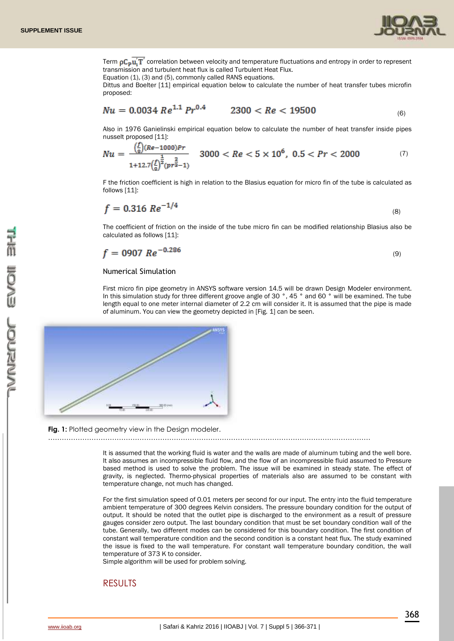

Term  $pC_D u T$  correlation between velocity and temperature fluctuations and entropy in order to represent transmission and turbulent heat flux is called Turbulent Heat Flux.

Equation (1), (3) and (5), commonly called RANS equations.

Dittus and Boelter [11] empirical equation below to calculate the number of heat transfer tubes microfin proposed:

$$
Nu = 0.0034 \, Re^{1.1} \, Pr^{0.4} \qquad 2300 < Re < 19500 \tag{6}
$$

Also in 1976 Ganielinski empirical equation below to calculate the number of heat transfer inside pipes nusselt proposed [11]:

$$
Nu = \frac{\left(\frac{L}{8}\right)(Re - 1000)Pr}{1 + 12.7\left(\frac{L}{8}\right)^{\frac{2}{2}}(pr^{\frac{2}{3}} - 1)} \quad 3000 < Re < 5 \times 10^6, \ 0.5 < Pr < 2000 \tag{7}
$$

F the friction coefficient is high in relation to the Blasius equation for micro fin of the tube is calculated as follows [11]:

$$
f = 0.316 \, Re^{-1/4} \tag{8}
$$

The coefficient of friction on the inside of the tube micro fin can be modified relationship Blasius also be calculated as follows [11]:

$$
f = 0907 \, Re^{-0.286} \tag{9}
$$

#### Numerical Simulation

First micro fin pipe geometry in ANSYS software version 14.5 will be drawn Design Modeler environment. In this simulation study for three different groove angle of 30 °, 45 ° and 60 ° will be examined. The tube length equal to one meter internal diameter of 2.2 cm will consider it. It is assumed that the pipe is made of aluminum. You can view the geometry depicted in [Fig. 1] can be seen.



#### **Fig. 1:** Plotted geometry view in the Design modeler.

……………………………………………………………………………………………………………………………

It is assumed that the working fluid is water and the walls are made of aluminum tubing and the well bore. It also assumes an incompressible fluid flow, and the flow of an incompressible fluid assumed to Pressure based method is used to solve the problem. The issue will be examined in steady state. The effect of gravity, is neglected. Thermo-physical properties of materials also are assumed to be constant with temperature change, not much has changed.

For the first simulation speed of 0.01 meters per second for our input. The entry into the fluid temperature ambient temperature of 300 degrees Kelvin considers. The pressure boundary condition for the output of output. It should be noted that the outlet pipe is discharged to the environment as a result of pressure gauges consider zero output. The last boundary condition that must be set boundary condition wall of the tube. Generally, two different modes can be considered for this boundary condition. The first condition of constant wall temperature condition and the second condition is a constant heat flux. The study examined the issue is fixed to the wall temperature. For constant wall temperature boundary condition, the wall temperature of 373 K to consider.

Simple algorithm will be used for problem solving.

## RESULTS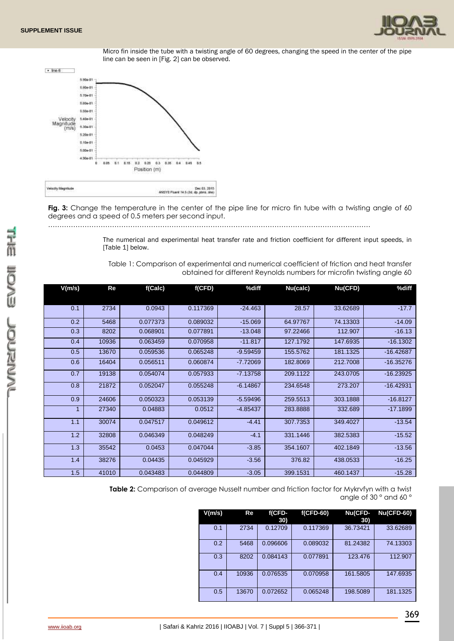





Fig. 3: Change the temperature in the center of the pipe line for micro fin tube with a twisting angle of 60 degrees and a speed of 0.5 meters per second input.

……………………………………………………………………………………………………………………………

The numerical and experimental heat transfer rate and friction coefficient for different input speeds, in [Table 1] below.

Table 1: Comparison of experimental and numerical coefficient of friction and heat transfer obtained for different Reynolds numbers for microfin twisting angle 60

| V(m/s)         | Re    | f(Calc)  | f(CFD)   | %diff      | Nu(calc) | Nu(CFD)  | %diff       |
|----------------|-------|----------|----------|------------|----------|----------|-------------|
|                |       |          |          |            |          |          |             |
| 0.1            | 2734  | 0.0943   | 0.117369 | $-24.463$  | 28.57    | 33.62689 | $-17.7$     |
| 0.2            | 5468  | 0.077373 | 0.089032 | $-15.069$  | 64.97767 | 74.13303 | $-14.09$    |
| 0.3            | 8202  | 0.068901 | 0.077891 | $-13.048$  | 97.22466 | 112.907  | $-16.13$    |
| 0.4            | 10936 | 0.063459 | 0.070958 | $-11.817$  | 127.1792 | 147.6935 | $-16.1302$  |
| 0.5            | 13670 | 0.059536 | 0.065248 | $-9.59459$ | 155.5762 | 181.1325 | $-16.42687$ |
| 0.6            | 16404 | 0.056511 | 0.060874 | $-7.72069$ | 182.8069 | 212.7008 | $-16.35276$ |
| 0.7            | 19138 | 0.054074 | 0.057933 | $-7.13758$ | 209.1122 | 243.0705 | $-16.23925$ |
| 0.8            | 21872 | 0.052047 | 0.055248 | $-6.14867$ | 234.6548 | 273.207  | $-16.42931$ |
| 0.9            | 24606 | 0.050323 | 0.053139 | $-5.59496$ | 259.5513 | 303.1888 | $-16.8127$  |
| $\overline{1}$ | 27340 | 0.04883  | 0.0512   | $-4.85437$ | 283.8888 | 332.689  | $-17.1899$  |
| 1.1            | 30074 | 0.047517 | 0.049612 | $-4.41$    | 307.7353 | 349.4027 | $-13.54$    |
| 1.2            | 32808 | 0.046349 | 0.048249 | $-4.1$     | 331.1446 | 382.5383 | $-15.52$    |
| 1.3            | 35542 | 0.0453   | 0.047044 | $-3.85$    | 354.1607 | 402.1849 | $-13.56$    |
| 1.4            | 38276 | 0.04435  | 0.045929 | $-3.56$    | 376.82   | 438.0533 | $-16.25$    |
| 1.5            | 41010 | 0.043483 | 0.044809 | $-3.05$    | 399.1531 | 460.1437 | $-15.28$    |

**Table 2:** Comparison of average Nusselt number and friction factor for Mykrvfyn with a twist angle of 30 ° and 60 °

| V(m/s) | Re    | f(CFD-<br>30) | $f(CFD-60)$ | Nu(CFD-<br>30) | <b>Nu(CFD-60)</b> |
|--------|-------|---------------|-------------|----------------|-------------------|
| 0.1    | 2734  | 0.12709       | 0.117369    | 36.73421       | 33.62689          |
| 0.2    | 5468  | 0.096606      | 0.089032    | 81.24382       | 74.13303          |
| 0.3    | 8202  | 0.084143      | 0.077891    | 123.476        | 112.907           |
| 0.4    | 10936 | 0.076535      | 0.070958    | 161.5805       | 147.6935          |
| 0.5    | 13670 | 0.072652      | 0.065248    | 198.5089       | 181.1325          |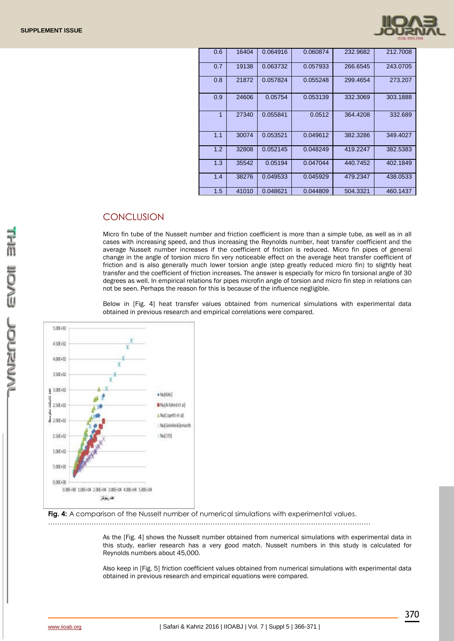

| 0.6 | 16404 | 0.064916 | 0.060874 | 232.9682 | 212,7008 |
|-----|-------|----------|----------|----------|----------|
| 0.7 | 19138 | 0.063732 | 0.057933 | 266.6545 | 243.0705 |
| 0.8 | 21872 | 0.057824 | 0.055248 | 299.4654 | 273.207  |
| 0.9 | 24606 | 0.05754  | 0.053139 | 332,3069 | 303.1888 |
| 1   | 27340 | 0.055841 | 0.0512   | 364.4208 | 332.689  |
| 1.1 | 30074 | 0.053521 | 0.049612 | 382.3286 | 349.4027 |
| 1.2 | 32808 | 0.052145 | 0.048249 | 419.2247 | 382.5383 |
| 1.3 | 35542 | 0.05194  | 0.047044 | 440.7452 | 402.1849 |
| 1.4 | 38276 | 0.049533 | 0.045929 | 479.2347 | 438.0533 |
| 1.5 | 41010 | 0.048621 | 0.044809 | 504.3321 | 460.1437 |

## **CONCLUSION**

Micro fin tube of the Nusselt number and friction coefficient is more than a simple tube, as well as in all cases with increasing speed, and thus increasing the Reynolds number, heat transfer coefficient and the average Nusselt number increases if the coefficient of friction is reduced. Micro fin pipes of general change in the angle of torsion micro fin very noticeable effect on the average heat transfer coefficient of friction and is also generally much lower torsion angle (step greatly reduced micro fin) to slightly heat transfer and the coefficient of friction increases. The answer is especially for micro fin torsional angle of 30 degrees as well. In empirical relations for pipes microfin angle of torsion and micro fin step in relations can not be seen. Perhaps the reason for this is because of the influence negligible.

Below in [Fig. 4] heat transfer values obtained from numerical simulations with experimental data obtained in previous research and empirical correlations were compared.



**Fig. 4:** A comparison of the Nusselt number of numerical simulations with experimental values.

……………………………………………………………………………………………………………………………

As the [Fig. 4] shows the Nusselt number obtained from numerical simulations with experimental data in this study, earlier research has a very good match. Nusselt numbers in this study is calculated for Reynolds numbers about 45,000.

Also keep in [Fig. 5] friction coefficient values obtained from numerical simulations with experimental data obtained in previous research and empirical equations were compared.